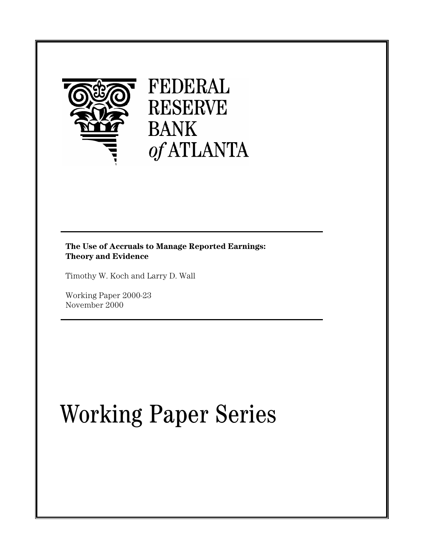

# FEDERAL **RESERVE BANK** of ATLANTA

**The Use of Accruals to Manage Reported Earnings: Theory and Evidence**

Timothy W. Koch and Larry D. Wall

Working Paper 2000-23 November 2000

# Working Paper Series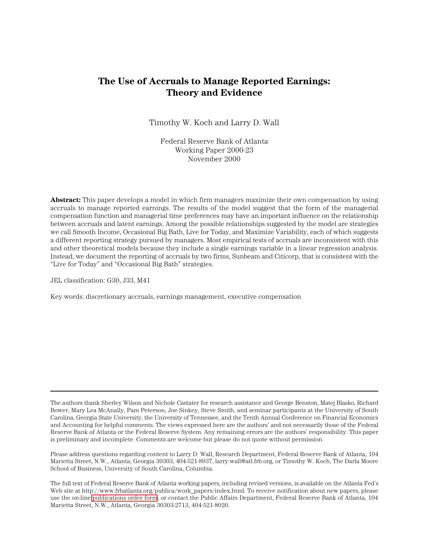# **The Use of Accruals to Manage Reported Earnings: Theory and Evidence**

Timothy W. Koch and Larry D. Wall

Federal Reserve Bank of Atlanta Working Paper 2000-23 November 2000

**Abstract:** This paper develops a model in which firm managers maximize their own compensation by using accruals to manage reported earnings. The results of the model suggest that the form of the managerial compensation function and managerial time preferences may have an important influence on the relationship between accruals and latent earnings. Among the possible relationships suggested by the model are strategies we call Smooth Income, Occasional Big Bath, Live for Today, and Maximize Variability, each of which suggests a different reporting strategy pursued by managers. Most empirical tests of accruals are inconsistent with this and other theoretical models because they include a single earnings variable in a linear regression analysis. Instead, we document the reporting of accruals by two firms, Sunbeam and Citicorp, that is consistent with the "Live for Today" and "Occasional Big Bath" strategies.

JEL classification: G30, J33, M41

Key words: discretionary accruals, earnings management, executive compensation

The authors thank Sherley Wilson and Nichole Castater for research assistance and George Benston, Matej Blasko, Richard Bower, Mary Lea McAnally, Pam Peterson, Joe Sinkey, Steve Smith, and seminar participants at the University of South Carolina, Georgia State University, the University of Tennessee, and the Tenth Annual Conference on Financial Economics and Accounting for helpful comments. The views expressed here are the authors' and not necessarily those of the Federal Reserve Bank of Atlanta or the Federal Reserve System. Any remaining errors are the authors' responsibility. This paper is preliminary and incomplete. Comments are welcome but please do not quote without permission.

Please address questions regarding content to Larry D. Wall, Research Department, Federal Reserve Bank of Atlanta, 104 Marietta Street, N.W., Atlanta, Georgia 30303, 404-521-8937, larry.wall@atl.frb.org, or Timothy W. Koch, The Darla Moore School of Business, University of South Carolina, Columbia.

The full text of Federal Reserve Bank of Atlanta working papers, including revised versions, is available on the Atlanta Fed's Web site at http://www.frbatlanta.org/publica/work\_papers/index.html. To receive notification about new papers, please use the on-line [publications order form](http://www.frbatlanta.org/publica/ordform.cfm), or contact the Public Affairs Department, Federal Reserve Bank of Atlanta, 104 Marietta Street, N.W., Atlanta, Georgia 30303-2713, 404-521-8020.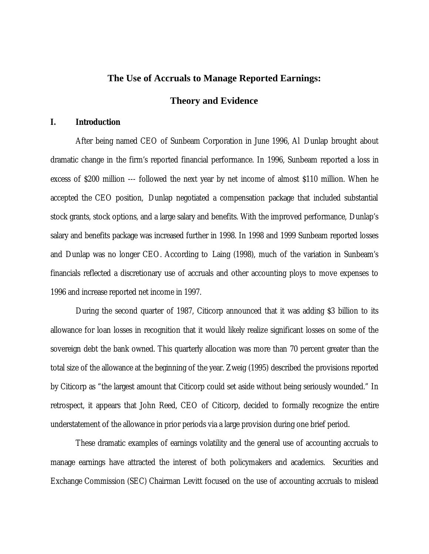# **The Use of Accruals to Manage Reported Earnings:**

#### **Theory and Evidence**

#### **I. Introduction**

After being named CEO of Sunbeam Corporation in June 1996, Al Dunlap brought about dramatic change in the firm's reported financial performance. In 1996, Sunbeam reported a loss in excess of \$200 million --- followed the next year by net income of almost \$110 million. When he accepted the CEO position, Dunlap negotiated a compensation package that included substantial stock grants, stock options, and a large salary and benefits. With the improved performance, Dunlap's salary and benefits package was increased further in 1998. In 1998 and 1999 Sunbeam reported losses and Dunlap was no longer CEO. According to Laing (1998), much of the variation in Sunbeam's financials reflected a discretionary use of accruals and other accounting ploys to move expenses to 1996 and increase reported net income in 1997.

During the second quarter of 1987, Citicorp announced that it was adding \$3 billion to its allowance for loan losses in recognition that it would likely realize significant losses on some of the sovereign debt the bank owned. This quarterly allocation was more than 70 percent greater than the total size of the allowance at the beginning of the year. Zweig (1995) described the provisions reported by Citicorp as "the largest amount that Citicorp could set aside without being seriously wounded." In retrospect, it appears that John Reed, CEO of Citicorp, decided to formally recognize the entire understatement of the allowance in prior periods via a large provision during one brief period.

These dramatic examples of earnings volatility and the general use of accounting accruals to manage earnings have attracted the interest of both policymakers and academics. Securities and Exchange Commission (SEC) Chairman Levitt focused on the use of accounting accruals to mislead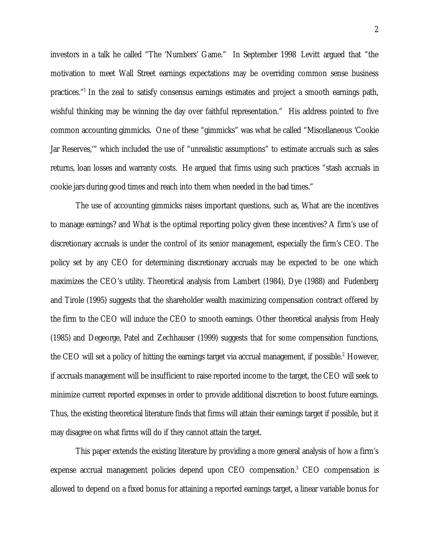investors in a talk he called "The 'Numbers' Game." In September 1998 Levitt argued that "the motivation to meet Wall Street earnings expectations may be overriding common sense business practices."<sup>1</sup> In the zeal to satisfy consensus earnings estimates and project a smooth earnings path, wishful thinking may be winning the day over faithful representation." His address pointed to five common accounting gimmicks. One of these "gimmicks" was what he called "Miscellaneous 'Cookie Jar Reserves,'" which included the use of "unrealistic assumptions" to estimate accruals such as sales returns, loan losses and warranty costs. He argued that firms using such practices "stash accruals in cookie jars during good times and reach into them when needed in the bad times."

The use of accounting gimmicks raises important questions, such as, What are the incentives to manage earnings? and What is the optimal reporting policy given these incentives? A firm's use of discretionary accruals is under the control of its senior management, especially the firm's CEO. The policy set by any CEO for determining discretionary accruals may be expected to be one which maximizes the CEO's utility. Theoretical analysis from Lambert (1984), Dye (1988) and Fudenberg and Tirole (1995) suggests that the shareholder wealth maximizing compensation contract offered by the firm to the CEO will induce the CEO to smooth earnings. Other theoretical analysis from Healy (1985) and Degeorge, Patel and Zechhauser (1999) suggests that for some compensation functions, the CEO will set a policy of hitting the earnings target via accrual management, if possible.<sup>2</sup> However, if accruals management will be insufficient to raise reported income to the target, the CEO will seek to minimize current reported expenses in order to provide additional discretion to boost future earnings. Thus, the existing theoretical literature finds that firms will attain their earnings target if possible, but it may disagree on what firms will do if they cannot attain the target.

This paper extends the existing literature by providing a more general analysis of how a firm's expense accrual management policies depend upon CEO compensation.<sup>3</sup> CEO compensation is allowed to depend on a fixed bonus for attaining a reported earnings target, a linear variable bonus for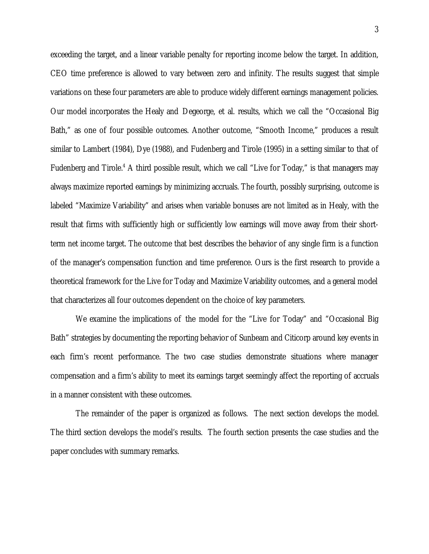exceeding the target, and a linear variable penalty for reporting income below the target. In addition, CEO time preference is allowed to vary between zero and infinity. The results suggest that simple variations on these four parameters are able to produce widely different earnings management policies. Our model incorporates the Healy and Degeorge, et al. results, which we call the "Occasional Big Bath," as one of four possible outcomes. Another outcome, "Smooth Income," produces a result similar to Lambert (1984), Dye (1988), and Fudenberg and Tirole (1995) in a setting similar to that of Fudenberg and Tirole.<sup>4</sup> A third possible result, which we call "Live for Today," is that managers may always maximize reported earnings by minimizing accruals. The fourth, possibly surprising, outcome is labeled "Maximize Variability" and arises when variable bonuses are not limited as in Healy, with the result that firms with sufficiently high or sufficiently low earnings will move away from their shortterm net income target. The outcome that best describes the behavior of any single firm is a function of the manager's compensation function and time preference. Ours is the first research to provide a theoretical framework for the Live for Today and Maximize Variability outcomes, and a general model that characterizes all four outcomes dependent on the choice of key parameters.

We examine the implications of the model for the "Live for Today" and "Occasional Big Bath" strategies by documenting the reporting behavior of Sunbeam and Citicorp around key events in each firm's recent performance. The two case studies demonstrate situations where manager compensation and a firm's ability to meet its earnings target seemingly affect the reporting of accruals in a manner consistent with these outcomes.

The remainder of the paper is organized as follows. The next section develops the model. The third section develops the model's results. The fourth section presents the case studies and the paper concludes with summary remarks.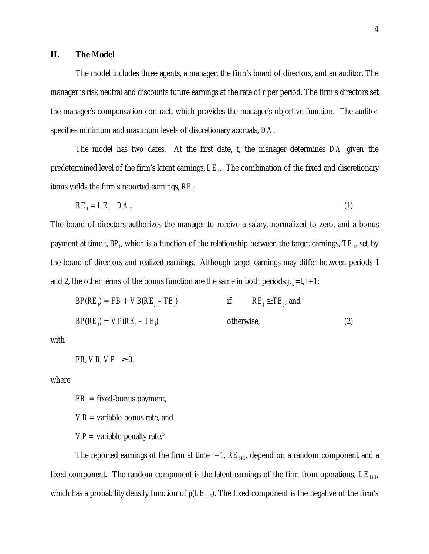#### **II. The Model**

The model includes three agents, a manager, the firm's board of directors, and an auditor. The manager is risk neutral and discounts future earnings at the rate of *r* per period. The firm's directors set the manager's compensation contract, which provides the manager's objective function. The auditor specifies minimum and maximum levels of discretionary accruals, *DA.*

The model has two dates. At the first date, t, the manager determines *DA* given the predetermined level of the firm's latent earnings, *LE<sup>t</sup>* . The combination of the fixed and discretionary items yields the firm's reported earnings, *RE<sup>t</sup>* :

$$
RE_t = LE_t - DA_t \tag{1}
$$

The board of directors authorizes the manager to receive a salary, normalized to zero, and a bonus payment at time *t, BP<sub>t</sub>,* which is a function of the relationship between the target earnings,  $TE_t$ , set by the board of directors and realized earnings. Although target earnings may differ between periods 1 and 2, the other terms of the bonus function are the same in both periods  $j$ ,  $j = t$ ,  $t+1$ :

$$
BP(RE_j) = FB + VB(RE_j - TE_j)
$$
 if  $RE_j \ge TE_j$ , and  

$$
BP(RE_j) = VP(RE_j - TE_j)
$$
 otherwise, (2)

with

*FB*, *VB*,  $VP \geq 0$ .

where

 $FB = fixed-bonus$  payment, *VB* = variable-bonus rate, and

 $VP =$  variable-penalty rate.<sup>5</sup>

The reported earnings of the firm at time  $t+1$ ,  $RE_{t+1}$ , depend on a random component and a fixed component. The random component is the latent earnings of the firm from operations,  $LE_{t+1}$ , which has a probability density function of  $p(LE_{t+1})$ . The fixed component is the negative of the firm's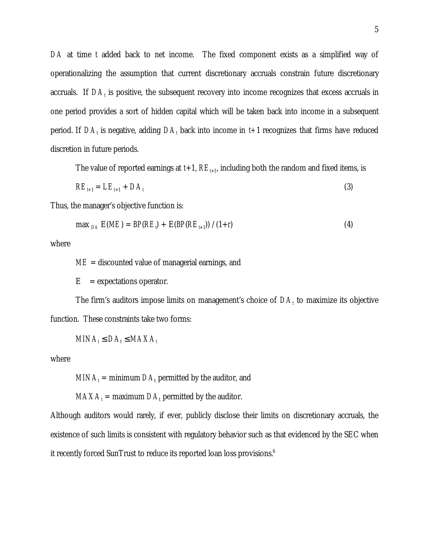*DA* at time *t* added back to net income. The fixed component exists as a simplified way of operationalizing the assumption that current discretionary accruals constrain future discretionary accruals. If *DA<sup>t</sup>* is positive, the subsequent recovery into income recognizes that excess accruals in one period provides a sort of hidden capital which will be taken back into income in a subsequent period. If  $DA_t$  is negative, adding  $DA_t$  back into income in *t*+1 recognizes that firms have reduced discretion in future periods.

The value of reported earnings at  $t+1$ ,  $RE_{t+1}$ , including both the random and fixed items, is

$$
RE_{t+1} = LE_{t+1} + DA_t \tag{3}
$$

Thus, the manager's objective function is:

$$
\max_{DA} E(ME) = BP(RE) + E(BP(RE_{t+1})) / (1+r) \tag{4}
$$

where

*ME* = discounted value of managerial earnings, and

 $E$  = expectations operator.

The firm's auditors impose limits on management's choice of  $DA_t$  to maximize its objective function. These constraints take two forms:

$$
MINA_t \le DA_t \le MAXA_t
$$

where

 $MINA_t$  = minimum  $DA_t$  permitted by the auditor, and

 $MAXA_t =$  maximum  $DA_t$  permitted by the auditor.

Although auditors would rarely, if ever, publicly disclose their limits on discretionary accruals, the existence of such limits is consistent with regulatory behavior such as that evidenced by the SEC when it recently forced SunTrust to reduce its reported loan loss provisions.<sup>6</sup>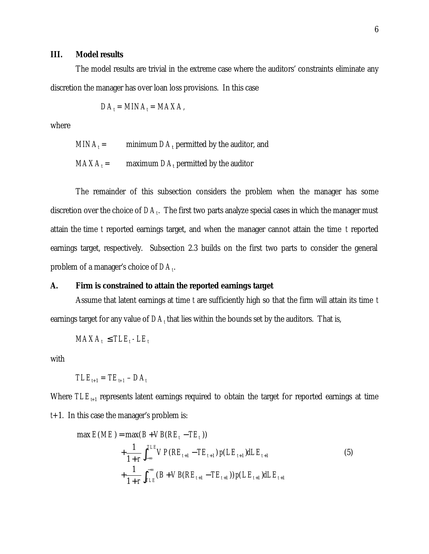#### **III. Model results**

The model results are trivial in the extreme case where the auditors' constraints eliminate any discretion the manager has over loan loss provisions. In this case

$$
DA_t = MINA_t = MAXA,
$$

where

 $MINA_t =$  $=$  minimum  $DA_t$  permitted by the auditor, and

 $MAXA_t =$  maximum  $DA_t$  permitted by the auditor

The remainder of this subsection considers the problem when the manager has some discretion over the choice of *DA<sup>t</sup>* . The first two parts analyze special cases in which the manager must attain the time *t* reported earnings target, and when the manager cannot attain the time *t* reported earnings target, respectively. Subsection 2.3 builds on the first two parts to consider the general problem of a manager's choice of *DA<sup>t</sup>* .

# **A. Firm is constrained to attain the reported earnings target**

Assume that latent earnings at time *t* are sufficiently high so that the firm will attain its time *t* earnings target for any value of  $DA_t$  that lies within the bounds set by the auditors. That is,

$$
MAXA_t \leq TLE_t \cdot LE_t
$$

with

$$
TLE_{t+1} = TE_{t+1} - DA_t
$$

Where *TLE*<sub>t<sup>+1</sub></sup> represents latent earnings required to obtain the target for reported earnings at time</sub> *t*+1. In this case the manager's problem is:

$$
\max E(ME) = \max(B + VB(RE_{t} - TE_{t}))
$$
  
+  $\frac{1}{1+r} \int_{-\infty}^{TLE} VP(RE_{t+1} - TE_{t+1}) p(LE_{t+1}) dLE_{t+1}$   
+  $\frac{1}{1+r} \int_{TLE}^{-\infty} (B + VB(RE_{t+1} - TE_{t+1})) p(LE_{t+1}) dLE_{t+1}$  (5)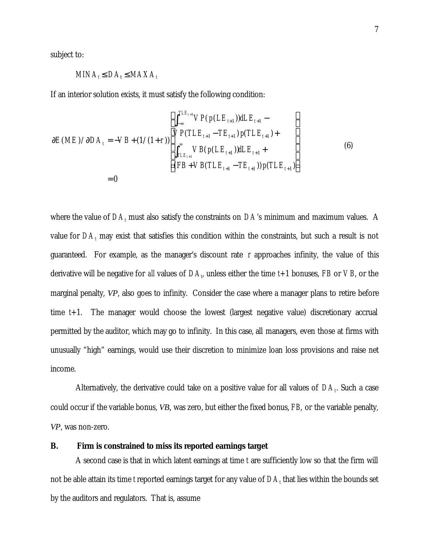subject to:

$$
MINA_t \le DA_t \le MAXA_t
$$

If an interior solution exists, it must satisfy the following condition:

$$
\partial E(ME)/\partial DA_{t} = -VB + (1/(1+r)) \begin{bmatrix} \int_{-\infty}^{TLE_{t+1}} VP(p(LE_{t+1})) dLE_{t+1} - \\ VP(TLE_{t+1} - TE_{t+1}) p(TLE_{t+1}) + \\ VP(TLE_{t+1}) p(TLE_{t+1}) dLE_{t+1} + \\ (FB + VB(TLE_{t+1} - TE_{t+1})) p(TLE_{t+1}) \end{bmatrix}
$$
(6)  
= 0

where the value of  $DA_t$  must also satisfy the constraints on  $DA$ 's minimum and maximum values.  $\ A$ value for  $DA_t$  may exist that satisfies this condition within the constraints, but such a result is not guaranteed. For example, as the manager's discount rate *r* approaches infinity, the value of this derivative will be negative for *all* values of *DA<sup>t</sup>* , unless either the time *t*+1 bonuses, *FB* or *VB*, or the marginal penalty, *VP*, also goes to infinity. Consider the case where a manager plans to retire before time *t*+1. The manager would choose the lowest (largest negative value) discretionary accrual permitted by the auditor, which may go to infinity. In this case, all managers, even those at firms with unusually "high" earnings, would use their discretion to minimize loan loss provisions and raise net income.

Alternatively, the derivative could take on a positive value for all values of  $DA_t$ . Such a case could occur if the variable bonus, *VB*, was zero, but either the fixed bonus, *FB*, or the variable penalty, *VP*, was non-zero.

# **B. Firm is constrained to miss its reported earnings target**

A second case is that in which latent earnings at time *t* are sufficiently low so that the firm will not be able attain its time *t* reported earnings target for any value of  $DA_t$  that lies within the bounds set by the auditors and regulators. That is, assume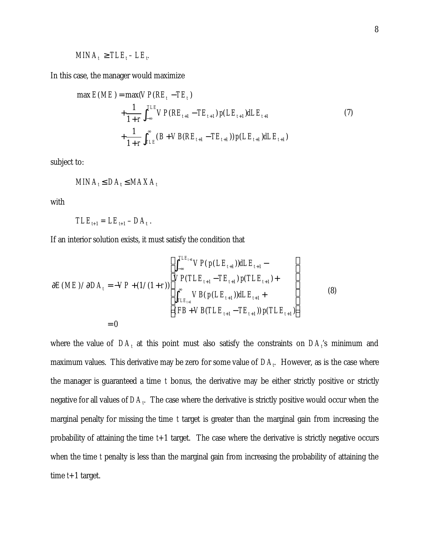$$
MINA_t \geq TLE_t - LE_t
$$

In this case, the manager would maximize

$$
\max E(ME) = \max(VP(RE_{t} - TE_{t})) + \frac{1}{1+r} \int_{-\infty}^{TLE} VP(RE_{t+1} - TE_{t+1}) p(LE_{t+1}) dLE_{t+1} + \frac{1}{1+r} \int_{TLE}^{\infty} (B + VB(RE_{t+1} - TE_{t+1})) p(LE_{t+1}) dLE_{t+1}) \tag{7}
$$

subject to:

$$
MINA_t \le DA_t \le MAXA_t
$$

with

$$
TLE_{t+1} = LE_{t+1} - DA_t.
$$

If an interior solution exists, it must satisfy the condition that

$$
\partial E(ME) / \partial DA_{t} = -VP + (1/(1+r)) \begin{bmatrix} \int_{-\infty}^{TLE_{t+1}} VP(p(LE_{t+1})) dLE_{t+1} - \\ VP(TLE_{t+1} - TE_{t+1}) p(TLE_{t+1}) + \\ \int_{TLE_{t+1}}^{\infty} VB(p(LE_{t+1})) dLE_{t+1} + \\ (FB + VB(TLE_{t+1} - TE_{t+1})) p(TLE_{t+1}) \end{bmatrix}
$$
(8)  
= 0

where the value of  $DA_t$  at this point must also satisfy the constraints on  $DA_t$ 's minimum and maximum values. This derivative may be zero for some value of  $DA<sub>r</sub>$ . However, as is the case where the manager is guaranteed a time *t* bonus, the derivative may be either strictly positive or strictly negative for all values of *DA<sup>t</sup>* . The case where the derivative is strictly positive would occur when the marginal penalty for missing the time *t* target is greater than the marginal gain from increasing the probability of attaining the time *t*+1 target. The case where the derivative is strictly negative occurs when the time *t* penalty is less than the marginal gain from increasing the probability of attaining the time *t*+1 target.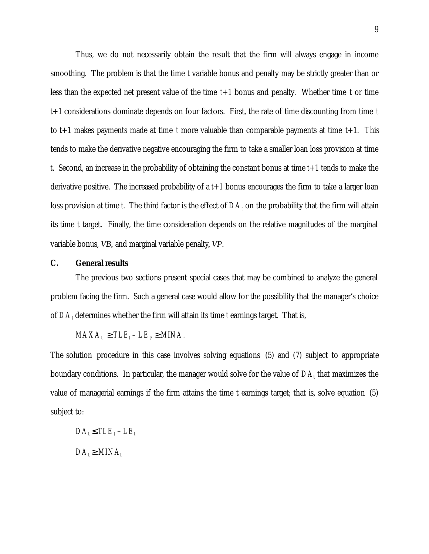Thus, we do not necessarily obtain the result that the firm will always engage in income smoothing. The problem is that the time *t* variable bonus and penalty may be strictly greater than or less than the expected net present value of the time *t*+1 bonus and penalty. Whether time *t* or time *t*+1 considerations dominate depends on four factors. First, the rate of time discounting from time *t* to *t*+1 makes payments made at time *t* more valuable than comparable payments at time *t*+1. This tends to make the derivative negative encouraging the firm to take a smaller loan loss provision at time *t*. Second, an increase in the probability of obtaining the constant bonus at time *t*+1 tends to make the derivative positive. The increased probability of a *t*+1 bonus encourages the firm to take a larger loan loss provision at time *t*. The third factor is the effect of  $DA_t$  on the probability that the firm will attain its time *t* target. Finally, the time consideration depends on the relative magnitudes of the marginal variable bonus, *VB*, and marginal variable penalty, *VP*.

#### **C. General results**

The previous two sections present special cases that may be combined to analyze the general problem facing the firm. Such a general case would allow for the possibility that the manager's choice of *DA<sup>t</sup>* determines whether the firm will attain its time *t* earnings target. That is,

$$
MAXA_t \geq TLE_t - LE_t.
$$
<sup>3</sup>MINA.

The solution procedure in this case involves solving equations (5) and (7) subject to appropriate boundary conditions. In particular, the manager would solve for the value of *DA<sup>t</sup>* that maximizes the value of managerial earnings if the firm attains the time t earnings target; that is, solve equation (5) subject to:

$$
DA_t \leq TLE_t - LE_t
$$
  

$$
DA_t \geq MINA_t
$$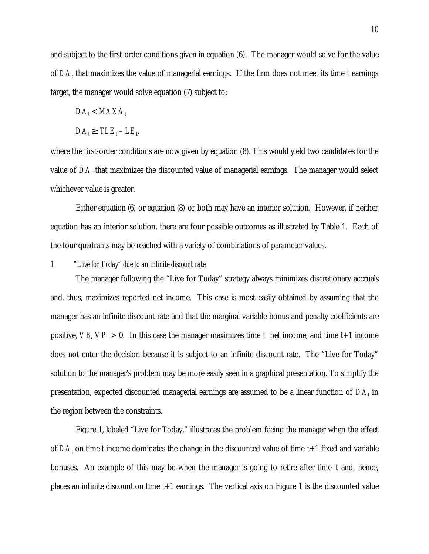and subject to the first-order conditions given in equation (6). The manager would solve for the value of *DA<sup>t</sup>* that maximizes the value of managerial earnings. If the firm does not meet its time *t* earnings target, the manager would solve equation (7) subject to:

$$
DA_t < MAXA_t
$$

$$
DA_t \geq TLE_t - LE_t
$$

where the first-order conditions are now given by equation (8). This would yield two candidates for the value of *DA<sup>t</sup>* that maximizes the discounted value of managerial earnings. The manager would select whichever value is greater.

Either equation (6) or equation (8) or both may have an interior solution. However, if neither equation has an interior solution, there are four possible outcomes as illustrated by Table 1. Each of the four quadrants may be reached with a variety of combinations of parameter values.

#### *1. "Live for Today" due to an infinite discount rate*

The manager following the "Live for Today" strategy always minimizes discretionary accruals and, thus, maximizes reported net income. This case is most easily obtained by assuming that the manager has an infinite discount rate and that the marginal variable bonus and penalty coefficients are positive,  $VB$ ,  $VP > 0$ . In this case the manager maximizes time t net income, and time t+1 income does not enter the decision because it is subject to an infinite discount rate. The "Live for Today" solution to the manager's problem may be more easily seen in a graphical presentation. To simplify the presentation, expected discounted managerial earnings are assumed to be a linear function of  $DA_t$  in the region between the constraints.

Figure 1, labeled "Live for Today," illustrates the problem facing the manager when the effect of *DA<sup>t</sup>* on time *t* income dominates the change in the discounted value of time *t*+1 fixed and variable bonuses. An example of this may be when the manager is going to retire after time *t* and, hence, places an infinite discount on time *t*+1 earnings. The vertical axis on Figure 1 is the discounted value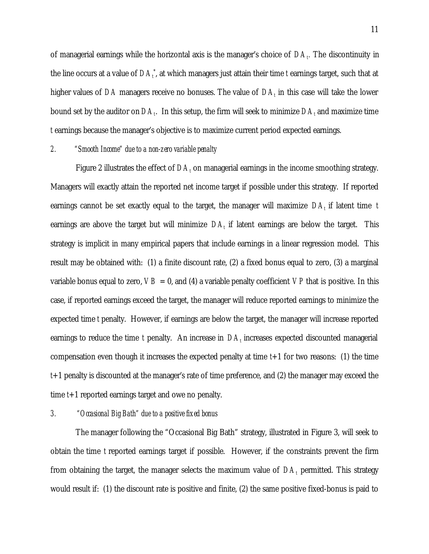of managerial earnings while the horizontal axis is the manager's choice of *DA<sup>t</sup> .* The discontinuity in the line occurs at a value of  $DA^*_t$ , at which managers just attain their time  $t$  earnings target, such that at higher values of  $DA$  managers receive no bonuses. The value of  $DA_{\scriptscriptstyle t}$  in this case will take the lower bound set by the auditor on  $DA_t$ . In this setup, the firm will seek to minimize  $DA_t$  and maximize time *t* earnings because the manager's objective is to maximize current period expected earnings.

#### *2. "Smooth Income" due to a non-zero variable penalty*

Figure 2 illustrates the effect of  $DA_t$  on managerial earnings in the income smoothing strategy. Managers will exactly attain the reported net income target if possible under this strategy. If reported earnings cannot be set exactly equal to the target, the manager will maximize *DA<sup>t</sup>* if latent time *t* earnings are above the target but will minimize  $DA_t$  if latent earnings are below the target. This strategy is implicit in many empirical papers that include earnings in a linear regression model. This result may be obtained with: (1) a finite discount rate, (2) a fixed bonus equal to zero, (3) a marginal variable bonus equal to zero,  $VB = 0$ , and (4) a variable penalty coefficient *VP* that is positive. In this case, if reported earnings exceed the target, the manager will reduce reported earnings to minimize the expected time *t* penalty. However, if earnings are below the target, the manager will increase reported earnings to reduce the time  $t$  penalty. An increase in  $DA_t$  increases expected discounted managerial compensation even though it increases the expected penalty at time *t*+1 for two reasons: (1) the time *t*+1 penalty is discounted at the manager's rate of time preference, and (2) the manager may exceed the time *t*+1 reported earnings target and owe no penalty.

#### *3. "Occasional Big Bath" due to a positive fixed bonus*

The manager following the "Occasional Big Bath" strategy, illustrated in Figure 3, will seek to obtain the time *t* reported earnings target if possible. However, if the constraints prevent the firm from obtaining the target, the manager selects the maximum value of  $DA_t$  permitted. This strategy would result if: (1) the discount rate is positive and finite, (2) the same positive fixed-bonus is paid to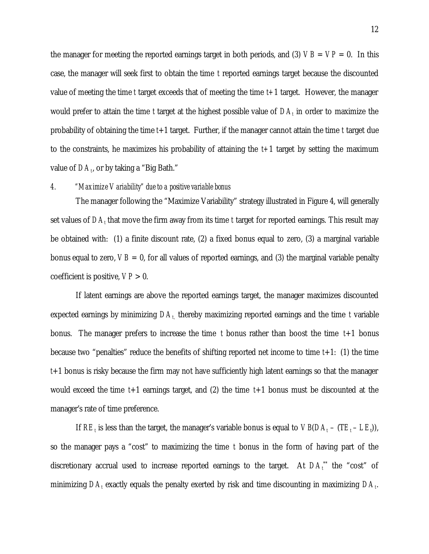the manager for meeting the reported earnings target in both periods, and (3)  $VB = VP = 0$ . In this case, the manager will seek first to obtain the time *t* reported earnings target because the discounted value of meeting the time *t* target exceeds that of meeting the time *t+*1 target. However, the manager would prefer to attain the time  $t$  target at the highest possible value of  $DA_t$  in order to maximize the probability of obtaining the time *t*+1 target. Further, if the manager cannot attain the time *t* target due to the constraints, he maximizes his probability of attaining the *t+*1 target by setting the maximum value of *DA<sup>t</sup>* , or by taking a "Big Bath."

#### *4. "Maximize Variability" due to a positive variable bonus*

The manager following the "Maximize Variability" strategy illustrated in Figure 4, will generally set values of  $DA_\iota$  that move the firm away from its time *t* target for reported earnings. This result may be obtained with: (1) a finite discount rate, (2) a fixed bonus equal to zero, (3) a marginal variable bonus equal to zero,  $VB = 0$ , for all values of reported earnings, and (3) the marginal variable penalty coefficient is positive,  $VP > 0$ .

If latent earnings are above the reported earnings target, the manager maximizes discounted expected earnings by minimizing *DAt,* thereby maximizing reported earnings and the time *t* variable bonus. The manager prefers to increase the time *t* bonus rather than boost the time *t*+1 bonus because two "penalties" reduce the benefits of shifting reported net income to time *t*+1: (1) the time *t*+1 bonus is risky because the firm may not have sufficiently high latent earnings so that the manager would exceed the time *t*+1 earnings target, and (2) the time *t*+1 bonus must be discounted at the manager's rate of time preference.

If  $RE_t$  is less than the target, the manager's variable bonus is equal to  $VB(DA_t - (TE_t - LE_t))$ , so the manager pays a "cost" to maximizing the time *t* bonus in the form of having part of the discretionary accrual used to increase reported earnings to the target. At  $DA_t^{**}$  the "cost" of minimizing  $DA_t$  exactly equals the penalty exerted by risk and time discounting in maximizing  $DA_t$ .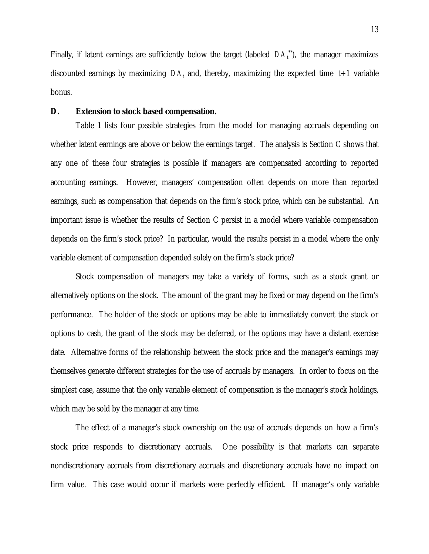Finally, if latent earnings are sufficiently below the target (labeled  $DA_t^*$ ), the manager maximizes discounted earnings by maximizing *DA<sup>t</sup>* and, thereby, maximizing the expected time *t*+1 variable bonus.

# **D. Extension to stock based compensation.**

Table 1 lists four possible strategies from the model for managing accruals depending on whether latent earnings are above or below the earnings target. The analysis is Section C shows that any one of these four strategies is possible if managers are compensated according to reported accounting earnings. However, managers' compensation often depends on more than reported earnings, such as compensation that depends on the firm's stock price, which can be substantial. An important issue is whether the results of Section C persist in a model where variable compensation depends on the firm's stock price? In particular, would the results persist in a model where the only variable element of compensation depended solely on the firm's stock price?

Stock compensation of managers may take a variety of forms, such as a stock grant or alternatively options on the stock. The amount of the grant may be fixed or may depend on the firm's performance. The holder of the stock or options may be able to immediately convert the stock or options to cash, the grant of the stock may be deferred, or the options may have a distant exercise date. Alternative forms of the relationship between the stock price and the manager's earnings may themselves generate different strategies for the use of accruals by managers. In order to focus on the simplest case, assume that the only variable element of compensation is the manager's stock holdings, which may be sold by the manager at any time.

The effect of a manager's stock ownership on the use of accruals depends on how a firm's stock price responds to discretionary accruals. One possibility is that markets can separate nondiscretionary accruals from discretionary accruals and discretionary accruals have no impact on firm value. This case would occur if markets were perfectly efficient. If manager's only variable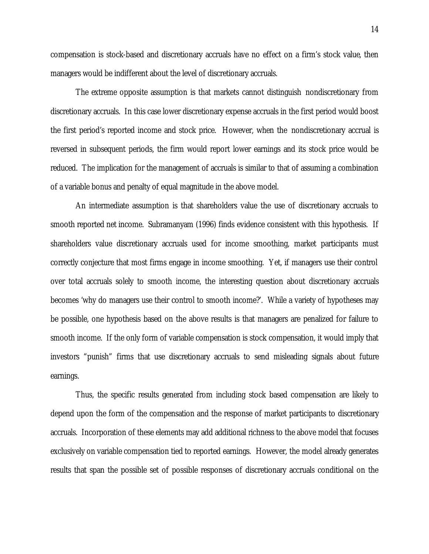compensation is stock-based and discretionary accruals have no effect on a firm's stock value, then managers would be indifferent about the level of discretionary accruals.

The extreme opposite assumption is that markets cannot distinguish nondiscretionary from discretionary accruals. In this case lower discretionary expense accruals in the first period would boost the first period's reported income and stock price. However, when the nondiscretionary accrual is reversed in subsequent periods, the firm would report lower earnings and its stock price would be reduced. The implication for the management of accruals is similar to that of assuming a combination of a variable bonus and penalty of equal magnitude in the above model.

An intermediate assumption is that shareholders value the use of discretionary accruals to smooth reported net income. Subramanyam (1996) finds evidence consistent with this hypothesis. If shareholders value discretionary accruals used for income smoothing, market participants must correctly conjecture that most firms engage in income smoothing. Yet, if managers use their control over total accruals solely to smooth income, the interesting question about discretionary accruals becomes 'why do managers use their control to smooth income?'. While a variety of hypotheses may be possible, one hypothesis based on the above results is that managers are penalized for failure to smooth income. If the only form of variable compensation is stock compensation, it would imply that investors "punish" firms that use discretionary accruals to send misleading signals about future earnings.

Thus, the specific results generated from including stock based compensation are likely to depend upon the form of the compensation and the response of market participants to discretionary accruals. Incorporation of these elements may add additional richness to the above model that focuses exclusively on variable compensation tied to reported earnings. However, the model already generates results that span the possible set of possible responses of discretionary accruals conditional on the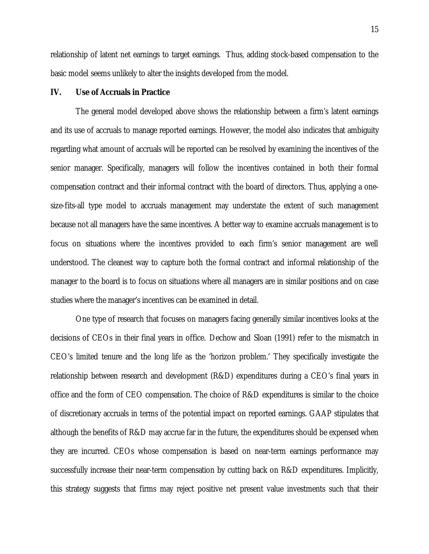relationship of latent net earnings to target earnings. Thus, adding stock-based compensation to the basic model seems unlikely to alter the insights developed from the model.

#### **IV. Use of Accruals in Practice**

The general model developed above shows the relationship between a firm's latent earnings and its use of accruals to manage reported earnings. However, the model also indicates that ambiguity regarding what amount of accruals will be reported can be resolved by examining the incentives of the senior manager. Specifically, managers will follow the incentives contained in both their formal compensation contract and their informal contract with the board of directors. Thus, applying a onesize-fits-all type model to accruals management may understate the extent of such management because not all managers have the same incentives. A better way to examine accruals management is to focus on situations where the incentives provided to each firm's senior management are well understood. The cleanest way to capture both the formal contract and informal relationship of the manager to the board is to focus on situations where all managers are in similar positions and on case studies where the manager's incentives can be examined in detail.

One type of research that focuses on managers facing generally similar incentives looks at the decisions of CEOs in their final years in office. Dechow and Sloan (1991) refer to the mismatch in CEO's limited tenure and the long life as the 'horizon problem.' They specifically investigate the relationship between research and development (R&D) expenditures during a CEO's final years in office and the form of CEO compensation. The choice of R&D expenditures is similar to the choice of discretionary accruals in terms of the potential impact on reported earnings. GAAP stipulates that although the benefits of R&D may accrue far in the future, the expenditures should be expensed when they are incurred. CEOs whose compensation is based on near-term earnings performance may successfully increase their near-term compensation by cutting back on R&D expenditures. Implicitly, this strategy suggests that firms may reject positive net present value investments such that their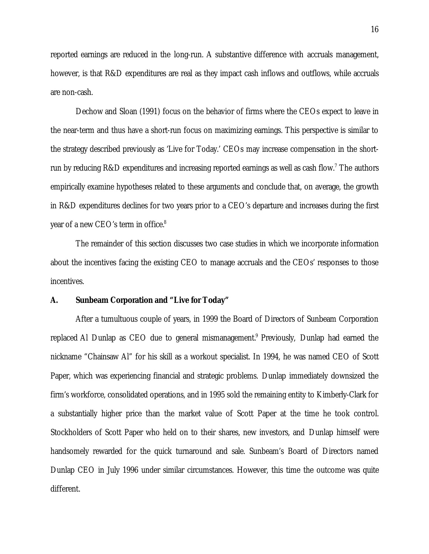reported earnings are reduced in the long-run. A substantive difference with accruals management, however, is that R&D expenditures are real as they impact cash inflows and outflows, while accruals are non-cash.

Dechow and Sloan (1991) focus on the behavior of firms where the CEOs expect to leave in the near-term and thus have a short-run focus on maximizing earnings. This perspective is similar to the strategy described previously as 'Live for Today.' CEOs may increase compensation in the shortrun by reducing R&D expenditures and increasing reported earnings as well as cash flow.<sup>7</sup> The authors empirically examine hypotheses related to these arguments and conclude that, on average, the growth in R&D expenditures declines for two years prior to a CEO's departure and increases during the first year of a new CEO's term in office.<sup>8</sup>

The remainder of this section discusses two case studies in which we incorporate information about the incentives facing the existing CEO to manage accruals and the CEOs' responses to those incentives.

#### **A. Sunbeam Corporation and "Live for Today"**

After a tumultuous couple of years, in 1999 the Board of Directors of Sunbeam Corporation replaced Al Dunlap as CEO due to general mismanagement.<sup>9</sup> Previously, Dunlap had earned the nickname "Chainsaw Al" for his skill as a workout specialist. In 1994, he was named CEO of Scott Paper, which was experiencing financial and strategic problems. Dunlap immediately downsized the firm's workforce, consolidated operations, and in 1995 sold the remaining entity to Kimberly-Clark for a substantially higher price than the market value of Scott Paper at the time he took control. Stockholders of Scott Paper who held on to their shares, new investors, and Dunlap himself were handsomely rewarded for the quick turnaround and sale. Sunbeam's Board of Directors named Dunlap CEO in July 1996 under similar circumstances. However, this time the outcome was quite different.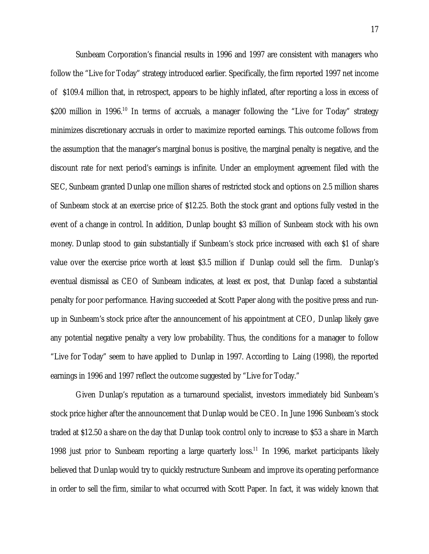Sunbeam Corporation's financial results in 1996 and 1997 are consistent with managers who follow the "Live for Today" strategy introduced earlier. Specifically, the firm reported 1997 net income of \$109.4 million that, in retrospect, appears to be highly inflated, after reporting a loss in excess of \$200 million in 1996.<sup>10</sup> In terms of accruals, a manager following the "Live for Today" strategy minimizes discretionary accruals in order to maximize reported earnings. This outcome follows from the assumption that the manager's marginal bonus is positive, the marginal penalty is negative, and the discount rate for next period's earnings is infinite. Under an employment agreement filed with the SEC, Sunbeam granted Dunlap one million shares of restricted stock and options on 2.5 million shares of Sunbeam stock at an exercise price of \$12.25. Both the stock grant and options fully vested in the event of a change in control. In addition, Dunlap bought \$3 million of Sunbeam stock with his own money. Dunlap stood to gain substantially if Sunbeam's stock price increased with each \$1 of share value over the exercise price worth at least \$3.5 million if Dunlap could sell the firm. Dunlap's eventual dismissal as CEO of Sunbeam indicates, at least ex post, that Dunlap faced a substantial penalty for poor performance. Having succeeded at Scott Paper along with the positive press and runup in Sunbeam's stock price after the announcement of his appointment at CEO, Dunlap likely gave any potential negative penalty a very low probability. Thus, the conditions for a manager to follow "Live for Today" seem to have applied to Dunlap in 1997. According to Laing (1998), the reported earnings in 1996 and 1997 reflect the outcome suggested by "Live for Today."

Given Dunlap's reputation as a turnaround specialist, investors immediately bid Sunbeam's stock price higher after the announcement that Dunlap would be CEO. In June 1996 Sunbeam's stock traded at \$12.50 a share on the day that Dunlap took control only to increase to \$53 a share in March 1998 just prior to Sunbeam reporting a large quarterly loss.<sup>11</sup> In 1996, market participants likely believed that Dunlap would try to quickly restructure Sunbeam and improve its operating performance in order to sell the firm, similar to what occurred with Scott Paper. In fact, it was widely known that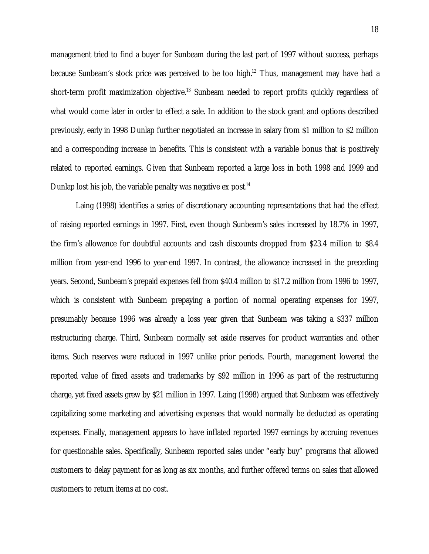management tried to find a buyer for Sunbeam during the last part of 1997 without success, perhaps because Sunbeam's stock price was perceived to be too high.<sup>12</sup> Thus, management may have had a short-term profit maximization objective.<sup>13</sup> Sunbeam needed to report profits quickly regardless of what would come later in order to effect a sale. In addition to the stock grant and options described previously, early in 1998 Dunlap further negotiated an increase in salary from \$1 million to \$2 million and a corresponding increase in benefits. This is consistent with a variable bonus that is positively related to reported earnings. Given that Sunbeam reported a large loss in both 1998 and 1999 and Dunlap lost his job, the variable penalty was negative  $ex$  post.<sup>14</sup>

Laing (1998) identifies a series of discretionary accounting representations that had the effect of raising reported earnings in 1997. First, even though Sunbeam's sales increased by 18.7% in 1997, the firm's allowance for doubtful accounts and cash discounts dropped from \$23.4 million to \$8.4 million from year-end 1996 to year-end 1997. In contrast, the allowance increased in the preceding years. Second, Sunbeam's prepaid expenses fell from \$40.4 million to \$17.2 million from 1996 to 1997, which is consistent with Sunbeam prepaying a portion of normal operating expenses for 1997, presumably because 1996 was already a loss year given that Sunbeam was taking a \$337 million restructuring charge. Third, Sunbeam normally set aside reserves for product warranties and other items. Such reserves were reduced in 1997 unlike prior periods. Fourth, management lowered the reported value of fixed assets and trademarks by \$92 million in 1996 as part of the restructuring charge, yet fixed assets grew by \$21 million in 1997. Laing (1998) argued that Sunbeam was effectively capitalizing some marketing and advertising expenses that would normally be deducted as operating expenses. Finally, management appears to have inflated reported 1997 earnings by accruing revenues for questionable sales. Specifically, Sunbeam reported sales under "early buy" programs that allowed customers to delay payment for as long as six months, and further offered terms on sales that allowed customers to return items at no cost.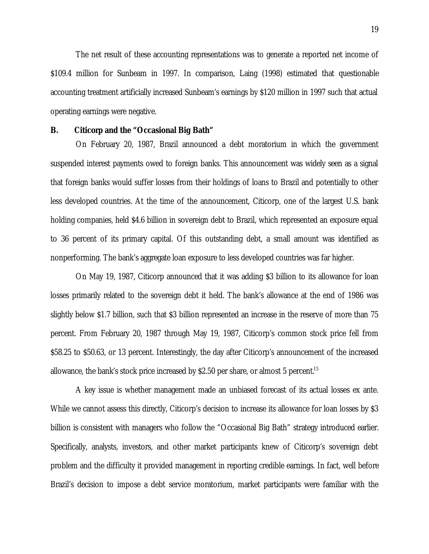The net result of these accounting representations was to generate a reported net income of \$109.4 million for Sunbeam in 1997. In comparison, Laing (1998) estimated that questionable accounting treatment artificially increased Sunbeam's earnings by \$120 million in 1997 such that actual operating earnings were negative.

#### **B. Citicorp and the "Occasional Big Bath"**

On February 20, 1987, Brazil announced a debt moratorium in which the government suspended interest payments owed to foreign banks. This announcement was widely seen as a signal that foreign banks would suffer losses from their holdings of loans to Brazil and potentially to other less developed countries. At the time of the announcement, Citicorp, one of the largest U.S. bank holding companies, held \$4.6 billion in sovereign debt to Brazil, which represented an exposure equal to 36 percent of its primary capital. Of this outstanding debt, a small amount was identified as nonperforming. The bank's aggregate loan exposure to less developed countries was far higher.

On May 19, 1987, Citicorp announced that it was adding \$3 billion to its allowance for loan losses primarily related to the sovereign debt it held. The bank's allowance at the end of 1986 was slightly below \$1.7 billion, such that \$3 billion represented an increase in the reserve of more than 75 percent. From February 20, 1987 through May 19, 1987, Citicorp's common stock price fell from \$58.25 to \$50.63, or 13 percent. Interestingly, the day after Citicorp's announcement of the increased allowance, the bank's stock price increased by \$2.50 per share, or almost 5 percent.<sup>15</sup>

A key issue is whether management made an unbiased forecast of its actual losses ex ante. While we cannot assess this directly, Citicorp's decision to increase its allowance for loan losses by \$3 billion is consistent with managers who follow the "Occasional Big Bath" strategy introduced earlier. Specifically, analysts, investors, and other market participants knew of Citicorp's sovereign debt problem and the difficulty it provided management in reporting credible earnings. In fact, well before Brazil's decision to impose a debt service moratorium, market participants were familiar with the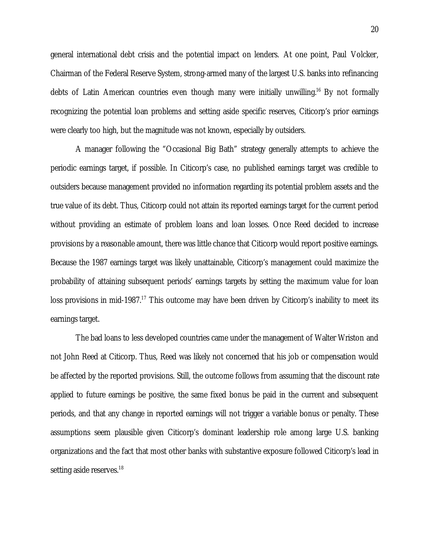general international debt crisis and the potential impact on lenders. At one point, Paul Volcker, Chairman of the Federal Reserve System, strong-armed many of the largest U.S. banks into refinancing debts of Latin American countries even though many were initially unwilling.<sup>16</sup> By not formally recognizing the potential loan problems and setting aside specific reserves, Citicorp's prior earnings were clearly too high, but the magnitude was not known, especially by outsiders.

A manager following the "Occasional Big Bath" strategy generally attempts to achieve the periodic earnings target, if possible. In Citicorp's case, no published earnings target was credible to outsiders because management provided no information regarding its potential problem assets and the true value of its debt. Thus, Citicorp could not attain its reported earnings target for the current period without providing an estimate of problem loans and loan losses. Once Reed decided to increase provisions by a reasonable amount, there was little chance that Citicorp would report positive earnings. Because the 1987 earnings target was likely unattainable, Citicorp's management could maximize the probability of attaining subsequent periods' earnings targets by setting the maximum value for loan loss provisions in mid-1987.<sup>17</sup> This outcome may have been driven by Citicorp's inability to meet its earnings target.

The bad loans to less developed countries came under the management of Walter Wriston and not John Reed at Citicorp. Thus, Reed was likely not concerned that his job or compensation would be affected by the reported provisions. Still, the outcome follows from assuming that the discount rate applied to future earnings be positive, the same fixed bonus be paid in the current and subsequent periods, and that any change in reported earnings will not trigger a variable bonus or penalty. These assumptions seem plausible given Citicorp's dominant leadership role among large U.S. banking organizations and the fact that most other banks with substantive exposure followed Citicorp's lead in setting aside reserves.<sup>18</sup>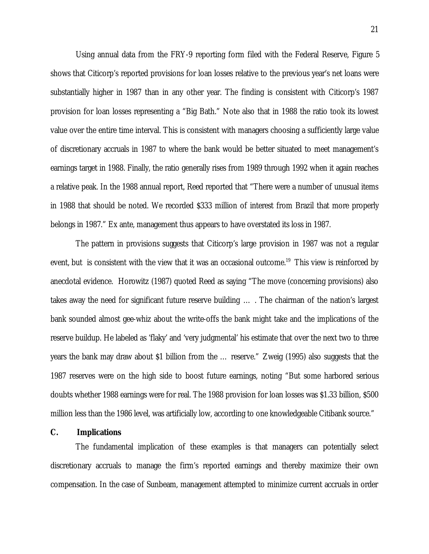Using annual data from the FRY-9 reporting form filed with the Federal Reserve, Figure 5 shows that Citicorp's reported provisions for loan losses relative to the previous year's net loans were substantially higher in 1987 than in any other year. The finding is consistent with Citicorp's 1987 provision for loan losses representing a "Big Bath." Note also that in 1988 the ratio took its lowest value over the entire time interval. This is consistent with managers choosing a sufficiently large value of discretionary accruals in 1987 to where the bank would be better situated to meet management's earnings target in 1988. Finally, the ratio generally rises from 1989 through 1992 when it again reaches a relative peak. In the 1988 annual report, Reed reported that "There were a number of unusual items in 1988 that should be noted. We recorded \$333 million of interest from Brazil that more properly belongs in 1987." Ex ante, management thus appears to have overstated its loss in 1987.

The pattern in provisions suggests that Citicorp's large provision in 1987 was not a regular event, but is consistent with the view that it was an occasional outcome.<sup>19</sup> This view is reinforced by anecdotal evidence. Horowitz (1987) quoted Reed as saying "The move (concerning provisions) also takes away the need for significant future reserve building … . The chairman of the nation's largest bank sounded almost gee-whiz about the write-offs the bank might take and the implications of the reserve buildup. He labeled as 'flaky' and 'very judgmental' his estimate that over the next two to three years the bank may draw about \$1 billion from the … reserve." Zweig (1995) also suggests that the 1987 reserves were on the high side to boost future earnings, noting "But some harbored serious doubts whether 1988 earnings were for real. The 1988 provision for loan losses was \$1.33 billion, \$500 million less than the 1986 level, was artificially low, according to one knowledgeable Citibank source."

#### **C. Implications**

The fundamental implication of these examples is that managers can potentially select discretionary accruals to manage the firm's reported earnings and thereby maximize their own compensation. In the case of Sunbeam, management attempted to minimize current accruals in order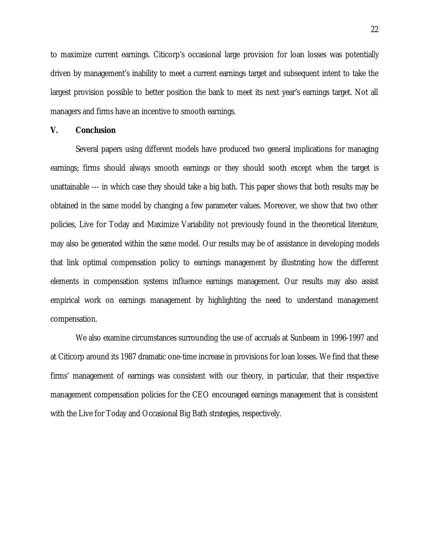to maximize current earnings. Citicorp's occasional large provision for loan losses was potentially driven by management's inability to meet a current earnings target and subsequent intent to take the largest provision possible to better position the bank to meet its next year's earnings target. Not all managers and firms have an incentive to smooth earnings.

#### **V. Conclusion**

Several papers using different models have produced two general implications for managing earnings; firms should always smooth earnings or they should sooth except when the target is unattainable --- in which case they should take a big bath. This paper shows that both results may be obtained in the same model by changing a few parameter values. Moreover, we show that two other policies, Live for Today and Maximize Variability not previously found in the theoretical literature, may also be generated within the same model. Our results may be of assistance in developing models that link optimal compensation policy to earnings management by illustrating how the different elements in compensation systems influence earnings management. Our results may also assist empirical work on earnings management by highlighting the need to understand management compensation.

We also examine circumstances surrounding the use of accruals at Sunbeam in 1996-1997 and at Citicorp around its 1987 dramatic one-time increase in provisions for loan losses. We find that these firms' management of earnings was consistent with our theory, in particular, that their respective management compensation policies for the CEO encouraged earnings management that is consistent with the Live for Today and Occasional Big Bath strategies, respectively.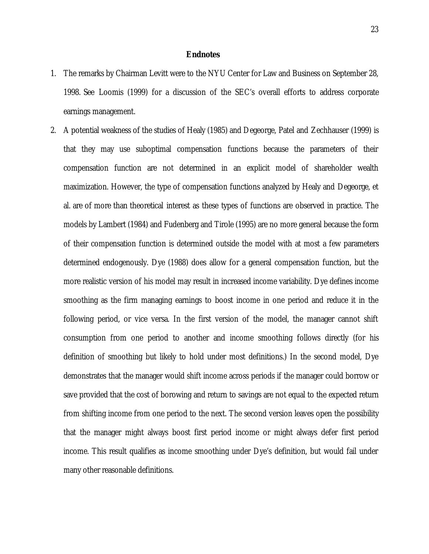#### **Endnotes**

- 1. The remarks by Chairman Levitt were to the NYU Center for Law and Business on September 28, 1998. See Loomis (1999) for a discussion of the SEC's overall efforts to address corporate earnings management.
- 2. A potential weakness of the studies of Healy (1985) and Degeorge, Patel and Zechhauser (1999) is that they may use suboptimal compensation functions because the parameters of their compensation function are not determined in an explicit model of shareholder wealth maximization. However, the type of compensation functions analyzed by Healy and Degeorge, et al. are of more than theoretical interest as these types of functions are observed in practice. The models by Lambert (1984) and Fudenberg and Tirole (1995) are no more general because the form of their compensation function is determined outside the model with at most a few parameters determined endogenously. Dye (1988) does allow for a general compensation function, but the more realistic version of his model may result in increased income variability. Dye defines income smoothing as the firm managing earnings to boost income in one period and reduce it in the following period, or vice versa. In the first version of the model, the manager cannot shift consumption from one period to another and income smoothing follows directly (for his definition of smoothing but likely to hold under most definitions.) In the second model, Dye demonstrates that the manager would shift income across periods if the manager could borrow or save provided that the cost of borowing and return to savings are not equal to the expected return from shifting income from one period to the next. The second version leaves open the possibility that the manager might always boost first period income or might always defer first period income. This result qualifies as income smoothing under Dye's definition, but would fail under many other reasonable definitions.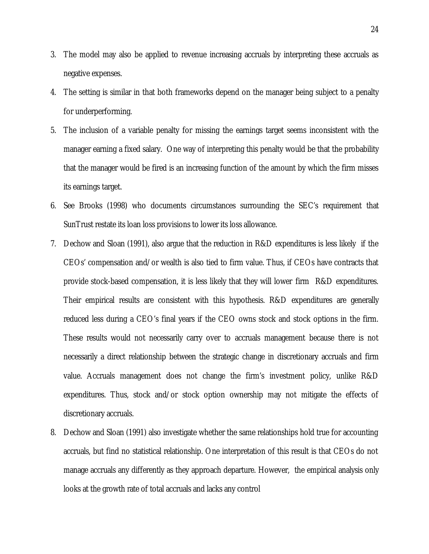- 3. The model may also be applied to revenue increasing accruals by interpreting these accruals as negative expenses.
- 4. The setting is similar in that both frameworks depend on the manager being subject to a penalty for underperforming.
- 5. The inclusion of a variable penalty for missing the earnings target seems inconsistent with the manager earning a fixed salary. One way of interpreting this penalty would be that the probability that the manager would be fired is an increasing function of the amount by which the firm misses its earnings target.
- 6. See Brooks (1998) who documents circumstances surrounding the SEC's requirement that SunTrust restate its loan loss provisions to lower its loss allowance.
- 7. Dechow and Sloan (1991), also argue that the reduction in R&D expenditures is less likely if the CEOs' compensation and/or wealth is also tied to firm value. Thus, if CEOs have contracts that provide stock-based compensation, it is less likely that they will lower firm R&D expenditures. Their empirical results are consistent with this hypothesis. R&D expenditures are generally reduced less during a CEO's final years if the CEO owns stock and stock options in the firm. These results would not necessarily carry over to accruals management because there is not necessarily a direct relationship between the strategic change in discretionary accruals and firm value. Accruals management does not change the firm's investment policy, unlike R&D expenditures. Thus, stock and/or stock option ownership may not mitigate the effects of discretionary accruals.
- 8. Dechow and Sloan (1991) also investigate whether the same relationships hold true for accounting accruals, but find no statistical relationship. One interpretation of this result is that CEOs do not manage accruals any differently as they approach departure. However, the empirical analysis only looks at the growth rate of total accruals and lacks any control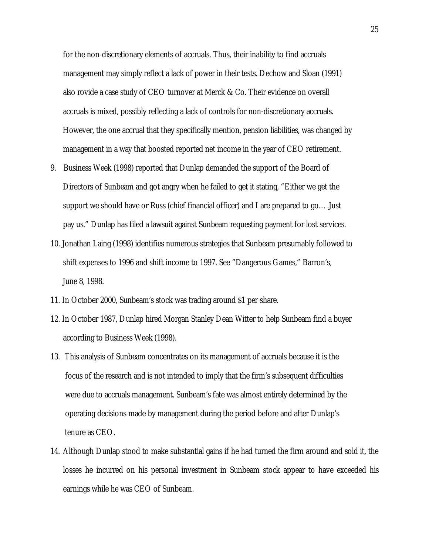for the non-discretionary elements of accruals. Thus, their inability to find accruals management may simply reflect a lack of power in their tests. Dechow and Sloan (1991) also rovide a case study of CEO turnover at Merck & Co. Their evidence on overall accruals is mixed, possibly reflecting a lack of controls for non-discretionary accruals. However, the one accrual that they specifically mention, pension liabilities, was changed by management in a way that boosted reported net income in the year of CEO retirement.

- 9. Business Week (1998) reported that Dunlap demanded the support of the Board of Directors of Sunbeam and got angry when he failed to get it stating, "Either we get the support we should have or Russ (chief financial officer) and I are prepared to go….Just pay us." Dunlap has filed a lawsuit against Sunbeam requesting payment for lost services.
- 10. Jonathan Laing (1998) identifies numerous strategies that Sunbeam presumably followed to shift expenses to 1996 and shift income to 1997. See "Dangerous Games," Barron's, June 8, 1998.
- 11. In October 2000, Sunbeam's stock was trading around \$1 per share.
- 12. In October 1987, Dunlap hired Morgan Stanley Dean Witter to help Sunbeam find a buyer according to Business Week (1998).
- 13. This analysis of Sunbeam concentrates on its management of accruals because it is the focus of the research and is not intended to imply that the firm's subsequent difficulties were due to accruals management. Sunbeam's fate was almost entirely determined by the operating decisions made by management during the period before and after Dunlap's tenure as CEO.
- 14. Although Dunlap stood to make substantial gains if he had turned the firm around and sold it, the losses he incurred on his personal investment in Sunbeam stock appear to have exceeded his earnings while he was CEO of Sunbeam.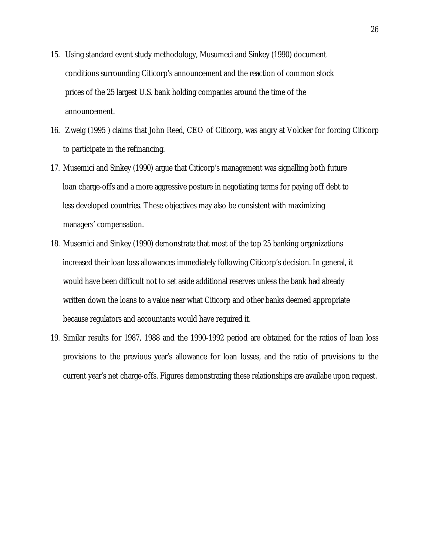- 15. Using standard event study methodology, Musumeci and Sinkey (1990) document conditions surrounding Citicorp's announcement and the reaction of common stock prices of the 25 largest U.S. bank holding companies around the time of the announcement.
- 16. Zweig (1995 ) claims that John Reed, CEO of Citicorp, was angry at Volcker for forcing Citicorp to participate in the refinancing.
- 17. Musemici and Sinkey (1990) argue that Citicorp's management was signalling both future loan charge-offs and a more aggressive posture in negotiating terms for paying off debt to less developed countries. These objectives may also be consistent with maximizing managers' compensation.
- 18. Musemici and Sinkey (1990) demonstrate that most of the top 25 banking organizations increased their loan loss allowances immediately following Citicorp's decision. In general, it would have been difficult not to set aside additional reserves unless the bank had already written down the loans to a value near what Citicorp and other banks deemed appropriate because regulators and accountants would have required it.
- 19. Similar results for 1987, 1988 and the 1990-1992 period are obtained for the ratios of loan loss provisions to the previous year's allowance for loan losses, and the ratio of provisions to the current year's net charge-offs. Figures demonstrating these relationships are availabe upon request.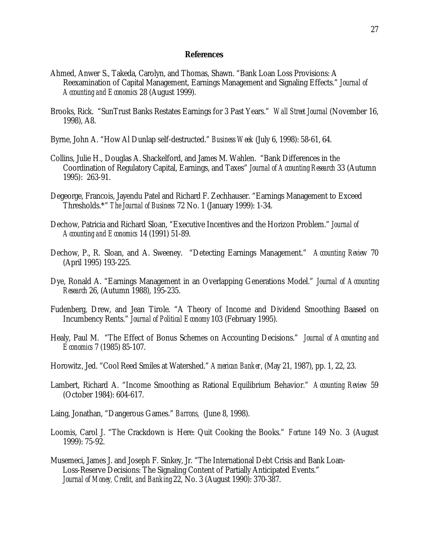#### **References**

- Ahmed, Anwer S., Takeda, Carolyn, and Thomas, Shawn. "Bank Loan Loss Provisions: A Reexamination of Capital Management, Earnings Management and Signaling Effects." *Journal of Accounting and Economics* 28 (August 1999).
- Brooks, Rick. "SunTrust Banks Restates Earnings for 3 Past Years." *Wall Street Journal* (November 16, 1998), A8.
- Byrne, John A. "How Al Dunlap self-destructed." *Business Week* (July 6, 1998): 58-61, 64.
- Collins, Julie H., Douglas A. Shackelford, and James M. Wahlen. "Bank Differences in the Coordination of Regulatory Capital, Earnings, and Taxes" *Journal of Accounting Research* 33 (Autumn 1995): 263-91.
- Degeorge, Francois, Jayendu Patel and Richard F. Zechhauser. "Earnings Management to Exceed Thresholds.\*" *The Journal of Business* 72 No. 1 (January 1999): 1-34.
- Dechow, Patricia and Richard Sloan, "Executive Incentives and the Horizon Problem." *Journal of Accounting and Economics* 14 (1991) 51-89.
- Dechow, P., R. Sloan, and A. Sweeney. "Detecting Earnings Management." *Accounting Review* 70 (April 1995) 193-225.
- Dye, Ronald A. "Earnings Management in an Overlapping Generations Model." *Journal of Accounting Research* 26, (Autumn 1988), 195-235.
- Fudenberg, Drew, and Jean Tirole. "A Theory of Income and Dividend Smoothing Baased on Incumbency Rents." *Journal of Political Economy* 103 (February 1995).
- Healy, Paul M. "The Effect of Bonus Schemes on Accounting Decisions." *Journal of Accounting and Economics* 7 (1985) 85-107.
- Horowitz, Jed. "Cool Reed Smiles at Watershed." *American Banker*, (May 21, 1987), pp. 1, 22, 23.
- Lambert, Richard A. "Income Smoothing as Rational Equilibrium Behavior." *Accounting Review* 59 (October 1984): 604-617.
- Laing, Jonathan, "Dangerous Games." *Barrons,* (June 8, 1998).
- Loomis, Carol J. "The Crackdown is Here: Quit Cooking the Books." *Fortune* 149 No. 3 (August 1999): 75-92.
- Musemeci, James J. and Joseph F. Sinkey, Jr. "The International Debt Crisis and Bank Loan- Loss-Reserve Decisions: The Signaling Content of Partially Anticipated Events." *Journal of Money, Credit, and Banking* 22, No. 3 (August 1990): 370-387.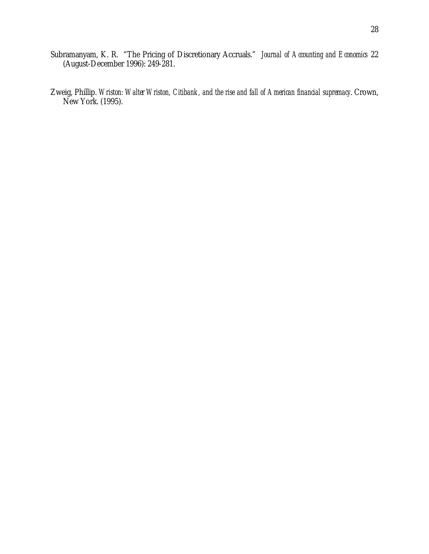- Subramanyam, K. R. "The Pricing of Discretionary Accruals." *Journal of Accounting and Economics* 22 (August-December 1996): 249-281.
- Zweig, Phillip. *Wriston: Walter Wriston, Citibank, and the rise and fall of American financial supremacy*. Crown, New York. (1995).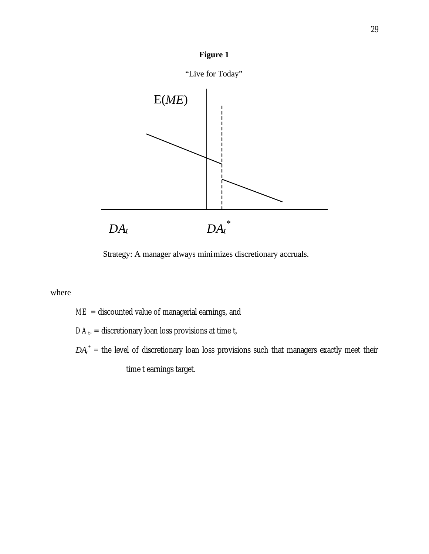



Strategy: A manager always minimizes discretionary accruals.

# where

*ME* = discounted value of managerial earnings, and

 $DA_t$  = discretionary loan loss provisions at time t,

 $DA<sub>t</sub><sup>*</sup>$  = the level of discretionary loan loss provisions such that managers exactly meet their time t earnings target.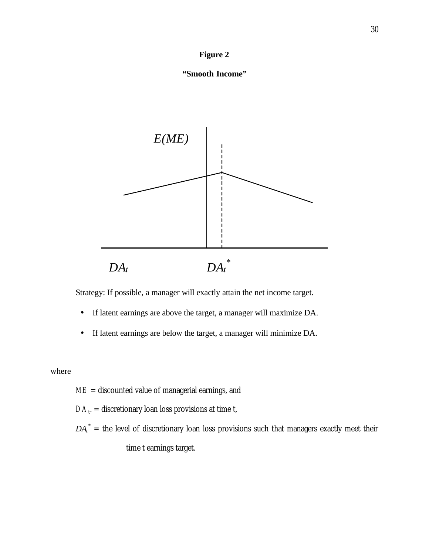





Strategy: If possible, a manager will exactly attain the net income target.

- If latent earnings are above the target, a manager will maximize DA.
- If latent earnings are below the target, a manager will minimize DA.

# where

*ME* = discounted value of managerial earnings, and

 $DA_{t}$  = discretionary loan loss provisions at time t,

 $DA<sub>t</sub><sup>*</sup>$  = the level of discretionary loan loss provisions such that managers exactly meet their time t earnings target.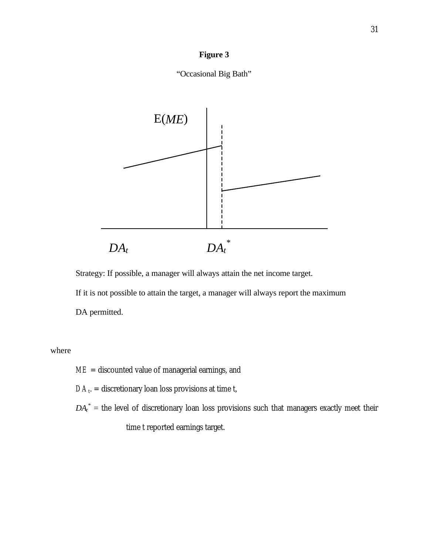





Strategy: If possible, a manager will always attain the net income target.

If it is not possible to attain the target, a manager will always report the maximum

DA permitted.

# where

*ME* = discounted value of managerial earnings, and

 $DA_{t}$  = discretionary loan loss provisions at time t,

 $DA<sub>t</sub><sup>*</sup>$  = the level of discretionary loan loss provisions such that managers exactly meet their time t reported earnings target.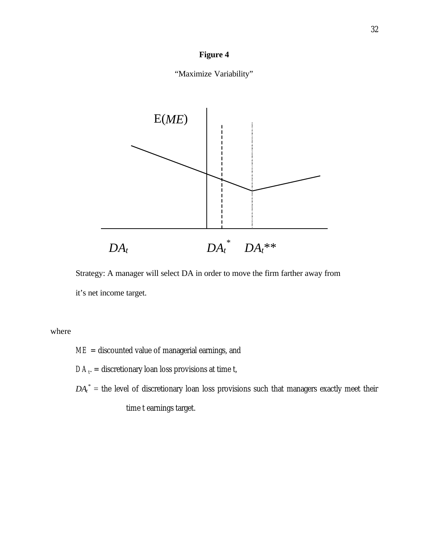





Strategy: A manager will select DA in order to move the firm farther away from it's net income target.

# where

*ME* = discounted value of managerial earnings, and

- $DA_{t}$  = discretionary loan loss provisions at time t,
- $DA_t^*$  = the level of discretionary loan loss provisions such that managers exactly meet their time t earnings target.